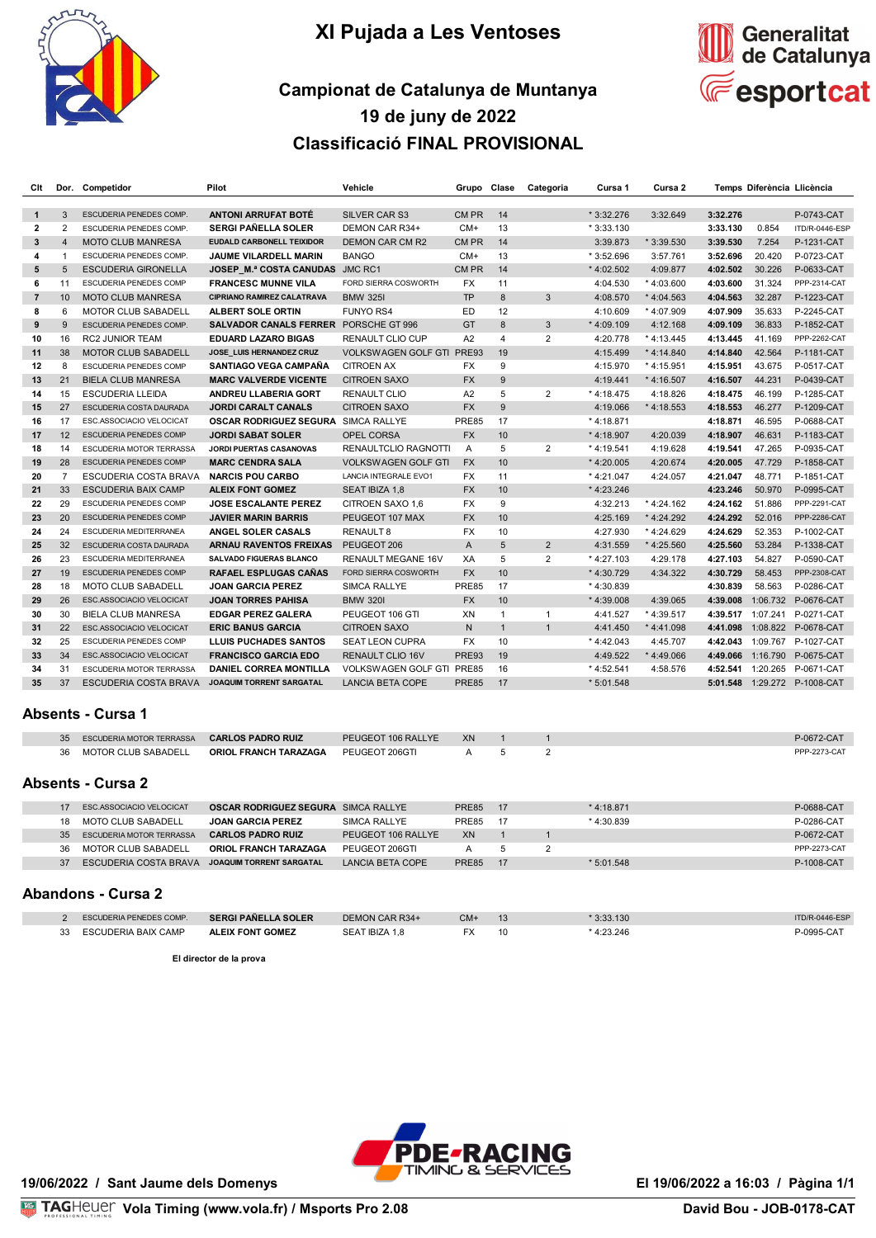

# **XI Pujada a Les Ventoses**



# **Campionat de Catalunya de Muntanya 19 de juny de 2022 Classificació FINAL PROVISIONAL**

| Cit            |                 | Dor. Competidor                 | Pilot                                        | Vehicle                          | Grupo Clase    |                 | Categoria      | Cursa 1      | Cursa 2      |          | Temps Diferència Llicència |                              |
|----------------|-----------------|---------------------------------|----------------------------------------------|----------------------------------|----------------|-----------------|----------------|--------------|--------------|----------|----------------------------|------------------------------|
| $\mathbf{1}$   | 3               | <b>ESCUDERIA PENEDES COMP</b>   | <b>ANTONI ARRUFAT BOTÉ</b>                   | <b>SILVER CAR S3</b>             | CM PR          | 14              |                | $*3:32.276$  | 3:32.649     | 3:32.276 |                            | P-0743-CAT                   |
| $\overline{2}$ | $\overline{2}$  | <b>ESCUDERIA PENEDES COMP</b>   | <b>SERGI PAÑELLA SOLER</b>                   | DEMON CAR R34+                   | $CM+$          | 13              |                | $*3:33.130$  |              | 3:33.130 | 0.854                      | ITD/R-0446-ESP               |
| 3              | $\overline{4}$  | <b>MOTO CLUB MANRESA</b>        | <b>EUDALD CARBONELL TEIXIDOR</b>             | <b>DEMON CAR CM R2</b>           | CM PR          | 14              |                | 3:39.873     | $*3:39.530$  | 3:39.530 | 7.254                      | P-1231-CAT                   |
| 4              | 1               | ESCUDERIA PENEDES COMP.         | <b>JAUME VILARDELL MARIN</b>                 | <b>BANGO</b>                     | $CM+$          | 13              |                | * 3:52.696   | 3:57.761     | 3:52.696 | 20.420                     | P-0723-CAT                   |
| 5              | 5               | <b>ESCUDERIA GIRONELLA</b>      | <b>JOSEP M.ª COSTA CANUDAS JMC RC1</b>       |                                  | CM PR          | 14              |                | $*4:02.502$  | 4:09.877     | 4:02.502 | 30.226                     | P-0633-CAT                   |
| 6              | 11              | <b>ESCUDERIA PENEDES COMP</b>   | <b>FRANCESC MUNNE VILA</b>                   | FORD SIERRA COSWORTH             | <b>FX</b>      | 11              |                | 4:04.530     | $*4:03.600$  | 4:03.600 | 31.324                     | <b>PPP-2314-CAT</b>          |
| $\overline{7}$ | 10 <sup>1</sup> | <b>MOTO CLUB MANRESA</b>        | <b>CIPRIANO RAMIREZ CALATRAVA</b>            | <b>BMW 325I</b>                  | <b>TP</b>      | 8               | 3              | 4:08.570     | $*4:04.563$  | 4:04.563 | 32.287                     | P-1223-CAT                   |
| 8              | 6               | <b>MOTOR CLUB SABADELL</b>      | ALBERT SOLE ORTIN                            | <b>FUNYO RS4</b>                 | ED.            | 12              |                | 4:10.609     | $*4:07.909$  | 4:07.909 | 35.633                     | P-2245-CAT                   |
| 9              | $\mathbf{Q}$    | <b>ESCUDERIA PENEDES COMP</b>   | <b>SALVADOR CANALS FERRER PORSCHE GT 996</b> |                                  | GT             | 8               | 3              | $*4:09.109$  | 4:12.168     | 4:09.109 | 36.833                     | P-1852-CAT                   |
| 10             | 16              | <b>RC2 JUNIOR TEAM</b>          | <b>EDUARD LAZARO BIGAS</b>                   | <b>RENAULT CLIO CUP</b>          | A2             | $\overline{4}$  | $\overline{2}$ | 4:20.778     | $*4:13.445$  | 4:13.445 | 41.169                     | <b>PPP-2262-CAT</b>          |
| 11             | 38              | <b>MOTOR CLUB SABADELL</b>      | JOSE LUIS HERNANDEZ CRUZ                     | <b>VOLKSWAGEN GOLF GTI</b>       | <b>PRE93</b>   | 19              |                | 4:15.499     | $*4:14.840$  | 4:14.840 | 42.564                     | P-1181-CAT                   |
| 12             | 8               | ESCUDERIA PENEDES COMP          | <b>SANTIAGO VEGA CAMPAÑA</b>                 | <b>CITROEN AX</b>                | <b>FX</b>      | 9               |                | 4:15.970     | * 4:15.951   | 4:15.951 | 43.675                     | P-0517-CAT                   |
| 13             | 21              | <b>BIELA CLUB MANRESA</b>       | <b>MARC VALVERDE VICENTE</b>                 | <b>CITROEN SAXO</b>              | <b>FX</b>      | 9               |                | 4:19.441     | $*$ 4:16.507 | 4:16.507 | 44.231                     | P-0439-CAT                   |
| 14             | 15              | <b>ESCUDERIA LLEIDA</b>         | <b>ANDREU LLABERIA GORT</b>                  | <b>RENAULT CLIO</b>              | A2             | 5               | $\overline{2}$ | $*4:18.475$  | 4:18.826     | 4:18.475 | 46.199                     | P-1285-CAT                   |
| 15             | 27              | <b>ESCUDERIA COSTA DAURADA</b>  | <b>JORDI CARALT CANALS</b>                   | <b>CITROEN SAXO</b>              | <b>FX</b>      | 9               |                | 4:19.066     | $*4:18.553$  | 4:18.553 | 46.277                     | P-1209-CAT                   |
| 16             | 17              | ESC.ASSOCIACIO VELOCICAT        | <b>OSCAR RODRIGUEZ SEGURA SIMCA RALLYE</b>   |                                  | <b>PRE85</b>   | 17              |                | $*4:18.871$  |              | 4:18.871 | 46.595                     | P-0688-CAT                   |
| 17             | 12              | <b>ESCUDERIA PENEDES COMP</b>   | <b>JORDI SABAT SOLER</b>                     | <b>OPEL CORSA</b>                | <b>FX</b>      | 10              |                | $*$ 4:18.907 | 4:20.039     | 4:18.907 | 46.631                     | P-1183-CAT                   |
| 18             | 14              | <b>ESCUDERIA MOTOR TERRASSA</b> | <b>JORDI PUERTAS CASANOVAS</b>               | <b>RENAULTCLIO RAGNOTTI</b>      | $\overline{A}$ | 5               | $\overline{2}$ | $*4:19.541$  | 4:19.628     | 4:19.541 | 47.265                     | P-0935-CAT                   |
| 19             | 28              | <b>ESCUDERIA PENEDES COMP</b>   | <b>MARC CENDRA SALA</b>                      | <b>VOLKSWAGEN GOLF GTI</b>       | <b>FX</b>      | 10              |                | $*$ 4:20.005 | 4:20.674     | 4:20.005 | 47.729                     | P-1858-CAT                   |
| 20             | $\overline{7}$  | ESCUDERIA COSTA BRAVA           | <b>NARCIS POU CARBO</b>                      | <b>LANCIA INTEGRALE EVO1</b>     | <b>FX</b>      | 11              |                | $*4:21.047$  | 4:24.057     | 4:21.047 | 48.771                     | P-1851-CAT                   |
| 21             | 33              | <b>ESCUDERIA BAIX CAMP</b>      | <b>ALEIX FONT GOMEZ</b>                      | SEAT IBIZA 1.8                   | <b>FX</b>      | 10              |                | $*4:23.246$  |              | 4:23.246 | 50,970                     | P-0995-CAT                   |
| 22             | 29              | <b>ESCUDERIA PENEDES COMP</b>   | JOSE ESCALANTE PEREZ                         | CITROEN SAXO 1.6                 | <b>FX</b>      | 9               |                | 4:32.213     | * 4:24.162   | 4:24.162 | 51.886                     | <b>PPP-2291-CAT</b>          |
| 23             | 20              | <b>ESCUDERIA PENEDES COMP</b>   | <b>JAVIER MARIN BARRIS</b>                   | PEUGEOT 107 MAX                  | <b>FX</b>      | 10              |                | 4:25.169     | $*4:24.292$  | 4:24.292 | 52.016                     | <b>PPP-2286-CAT</b>          |
| 24             | 24              | ESCUDERIA MEDITERRANEA          | ANGEL SOLER CASALS                           | <b>RENAULT 8</b>                 | <b>FX</b>      | 10              |                | 4:27.930     | * 4:24.629   | 4:24.629 | 52.353                     | P-1002-CAT                   |
| 25             | 32              | <b>ESCUDERIA COSTA DAURADA</b>  | <b>ARNAU RAVENTOS FREIXAS</b>                | PEUGEOT 206                      | A              | 5               | $\overline{2}$ | 4:31.559     | * 4:25.560   | 4:25.560 | 53.284                     | P-1338-CAT                   |
| 26             | 23              | ESCUDERIA MEDITERRANEA          | <b>SALVADO FIGUERAS BLANCO</b>               | <b>RENAULT MEGANE 16V</b>        | XA             | 5               | $\overline{2}$ | $*$ 4:27.103 | 4:29.178     | 4:27.103 | 54.827                     | P-0590-CAT                   |
| 27             | 19              | <b>ESCUDERIA PENEDES COMP</b>   | <b>RAFAEL ESPLUGAS CANAS</b>                 | FORD SIERRA COSWORTH             | <b>FX</b>      | 10              |                | $*4:30.729$  | 4:34.322     | 4:30.729 | 58.453                     | <b>PPP-2308-CAT</b>          |
| 28             | 18              | <b>MOTO CLUB SABADELL</b>       | <b>JOAN GARCIA PEREZ</b>                     | <b>SIMCA RALLYE</b>              | <b>PRE85</b>   | 17              |                | *4:30.839    |              | 4:30.839 | 58.563                     | P-0286-CAT                   |
| 29             | 26              | ESC.ASSOCIACIO VELOCICAT        | <b>JOAN TORRES PAHISA</b>                    | <b>BMW 3201</b>                  | <b>FX</b>      | 10 <sup>1</sup> |                | $*4:39.008$  | 4:39.065     | 4:39.008 |                            | 1:06.732 P-0676-CAT          |
| 30             | 30              | <b>BIELA CLUB MANRESA</b>       | <b>EDGAR PEREZ GALERA</b>                    | PEUGEOT 106 GTI                  | XN             | $\mathbf{1}$    | $\mathbf{1}$   | 4:41.527     | * 4:39.517   |          |                            | 4:39.517 1:07.241 P-0271-CAT |
| 31             | 22              | <b>ESC.ASSOCIACIO VELOCICAT</b> | <b>ERIC BANUS GARCIA</b>                     | <b>CITROEN SAXO</b>              | N              | $\overline{1}$  | $\overline{1}$ | 4:41.450     | $*4:41.098$  | 4:41.098 |                            | 1:08.822 P-0678-CAT          |
| 32             | 25              | <b>ESCUDERIA PENEDES COMP</b>   | <b>LLUIS PUCHADES SANTOS</b>                 | <b>SEAT LEON CUPRA</b>           | <b>FX</b>      | 10              |                | $*$ 4:42.043 | 4:45.707     | 4:42.043 |                            | 1:09.767 P-1027-CAT          |
| 33             | 34              | <b>ESC.ASSOCIACIO VELOCICAT</b> | <b>FRANCISCO GARCIA EDO</b>                  | <b>RENAULT CLIO 16V</b>          | <b>PRE93</b>   | 19              |                | 4:49.522     | $*4:49.066$  | 4:49.066 |                            | 1:16.790 P-0675-CAT          |
| 34             | 31              | <b>ESCUDERIA MOTOR TERRASSA</b> | <b>DANIEL CORREA MONTILLA</b>                | <b>VOLKSWAGEN GOLF GTI PRE85</b> |                | 16              |                | $*4:52.541$  | 4:58.576     | 4:52.541 |                            | 1:20.265 P-0671-CAT          |
| 35             | 37              | <b>ESCUDERIA COSTA BRAVA</b>    | <b>JOAQUIM TORRENT SARGATAL</b>              | <b>LANCIA BETA COPE</b>          | <b>PRE85</b>   | 17              |                | $*5:01.548$  |              | 5:01.548 |                            | 1:29.272 P-1008-CAT          |
|                |                 |                                 |                                              |                                  |                |                 |                |              |              |          |                            |                              |

#### **Absents - Cursa 1**

|    | Absents - Cursa 2                                 |                              |                    |     |  |                     |
|----|---------------------------------------------------|------------------------------|--------------------|-----|--|---------------------|
|    | 36 MOTOR CLUB SABADELL                            | <b>ORIOL FRANCH TARAZAGA</b> | PEUGEOT 206GTI     | A 5 |  | <b>PPP-2273-CAT</b> |
| 35 | ESCUDERIA MOTOR TERRASSA <b>CARLOS PADRO RUIZ</b> |                              | PEUGEOT 106 RALLYE | XN  |  | P-0672-CAT          |
|    |                                                   |                              |                    |     |  |                     |

| <b>OSCAR RODRIGUEZ SEGURA SIMCA RALLYE</b><br><b>ESC ASSOCIACIO VELOCICAT</b>           | PRE85     | 17   | $*4:18.871$  | P-0688-CAT          |
|-----------------------------------------------------------------------------------------|-----------|------|--------------|---------------------|
| MOTO CLUB SABADELL<br>SIMCA RALLYE<br><b>JOAN GARCIA PEREZ</b><br>18                    | PRE85     | - 17 | $*$ 4:30.839 | P-0286-CAT          |
| <b>CARLOS PADRO RUIZ</b><br>PEUGEOT 106 RALLYE<br><b>ESCUDERIA MOTOR TERRASSA</b><br>35 | <b>XN</b> |      |              | P-0672-CAT          |
| MOTOR CLUB SABADELL<br><b>ORIOL FRANCH TARAZAGA</b><br>PEUGEOT 206GTI<br>36             |           |      |              | <b>PPP-2273-CAT</b> |
| LANCIA BETA COPE<br>ESCUDERIA COSTA BRAVA<br>37<br>JOAQUIM TORRENT SARGATAL             | PRE85     | 17   | $*5:01.548$  | P-1008-CAT          |

### **Abandons - Cursa 2**

| <b>ESCUDERIA PENEDES COMP.</b> | <b>SERGI PAÑELLA SOLER</b> | DEMON CAR R34+ | CM- |    | 3:33.130 | ITD/R-0446-ESP |
|--------------------------------|----------------------------|----------------|-----|----|----------|----------------|
| ESCUDERIA BAIX CAMP            | <b>ALEIX FONT GOMEZ</b>    | SEAT IBIZA 1.8 |     | 10 | 4:23.246 | P-0995-CAT     |

**El director de la prova**